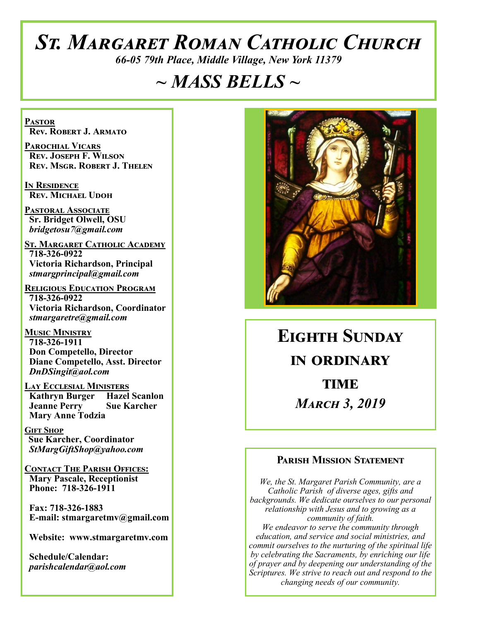# *St. Margaret Roman Catholic Church*

*66-05 79th Place, Middle Village, New York 11379*

# *~ MASS BELLS ~*

**Pastor Rev. Robert J. Armato**

**Parochial Vicars Rev. Joseph F. Wilson Rev. Msgr. Robert J. Thelen**

**In Residence Rev. Michael Udoh**

**Pastoral Associate Sr. Bridget Olwell, OSU**  *bridgetosu7@gmail.com*

**St. Margaret Catholic Academy 718-326-0922 Victoria Richardson, Principal**  *stmargprincipal@gmail.com*

**Religious Education Program 718-326-0922 Victoria Richardson, Coordinator** *stmargaretre@gmail.com*

**Music Ministry 718-326-1911 Don Competello, Director Diane Competello, Asst. Director** *DnDSingit@aol.com*

**Lay Ecclesial Ministers Kathryn Burger Hazel Scanlon**<br>**Jeanne Perry Sue Karcher Jeanne Perry Mary Anne Todzia**

**Gift Shop Sue Karcher, Coordinator** *StMargGiftShop@yahoo.com*

**Contact The Parish Offices: Mary Pascale, Receptionist Phone: 718-326-1911** 

 **Fax: 718-326-1883 E-mail: stmargaretmv@gmail.com**

 **Website: www.stmargaretmv.com**

 **Schedule/Calendar:** *parishcalendar@aol.com* 



**Eighth Sunday in ordinary TIME** *March 3, 2019* 

#### **Parish Mission Statement**

*We, the St. Margaret Parish Community, are a Catholic Parish of diverse ages, gifts and backgrounds. We dedicate ourselves to our personal relationship with Jesus and to growing as a community of faith. We endeavor to serve the community through education, and service and social ministries, and commit ourselves to the nurturing of the spiritual life by celebrating the Sacraments, by enriching our life of prayer and by deepening our understanding of the Scriptures. We strive to reach out and respond to the changing needs of our community.*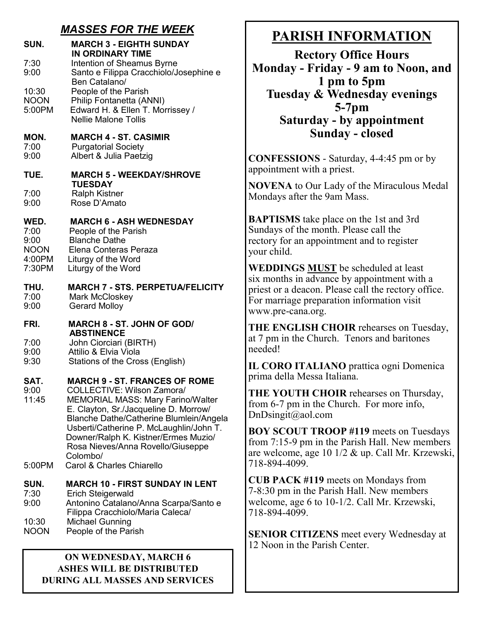## *MASSES FOR THE WEEK*

| SUN.                                                    | <b>MARCH 3 - EIGHTH SUNDAY</b><br><b>IN ORDINARY TIME</b>                                                                                                                                                                                                                                                                                                                         |
|---------------------------------------------------------|-----------------------------------------------------------------------------------------------------------------------------------------------------------------------------------------------------------------------------------------------------------------------------------------------------------------------------------------------------------------------------------|
| 7:30<br>9:00                                            | Intention of Sheamus Byrne<br>Santo e Filippa Cracchiolo/Josephine e<br>Ben Catalano/                                                                                                                                                                                                                                                                                             |
| 10:30<br><b>NOON</b><br>5:00PM                          | People of the Parish<br>Philip Fontanetta (ANNI)<br>Edward H. & Ellen T. Morrissey /<br><b>Nellie Malone Tollis</b>                                                                                                                                                                                                                                                               |
| MON.<br>7:00<br>9:00                                    | <b>MARCH 4 - ST. CASIMIR</b><br><b>Purgatorial Society</b><br>Albert & Julia Paetzig                                                                                                                                                                                                                                                                                              |
| TUE.                                                    | <b>MARCH 5 - WEEKDAY/SHROVE</b><br><b>TUESDAY</b>                                                                                                                                                                                                                                                                                                                                 |
| 7:00<br>9:00                                            | <b>Ralph Kistner</b><br>Rose D'Amato                                                                                                                                                                                                                                                                                                                                              |
| WED.<br>7:00<br>9:00<br><b>NOON</b><br>4:00PM<br>7:30PM | <b>MARCH 6 - ASH WEDNESDAY</b><br>People of the Parish<br><b>Blanche Dathe</b><br>Elena Conteras Peraza<br>Liturgy of the Word<br>Liturgy of the Word                                                                                                                                                                                                                             |
| THU.<br>7:00<br>9:00                                    | <b>MARCH 7 - STS. PERPETUA/FELICITY</b><br><b>Mark McCloskey</b><br><b>Gerard Molloy</b>                                                                                                                                                                                                                                                                                          |
| FRI.                                                    | <b>MARCH 8 - ST. JOHN OF GOD/</b><br><b>ABSTINENCE</b>                                                                                                                                                                                                                                                                                                                            |
| 7:00<br>9:00<br>9:30                                    | John Ciorciari (BIRTH)<br>Attilio & Elvia Viola<br>Stations of the Cross (English)                                                                                                                                                                                                                                                                                                |
| SAT.<br>9:00<br>11:45<br>5:00PM                         | <b>MARCH 9 - ST. FRANCES OF ROME</b><br><b>COLLECTIVE: Wilson Zamora/</b><br><b>MEMORIAL MASS: Mary Farino/Walter</b><br>E. Clayton, Sr./Jacqueline D. Morrow/<br><b>Blanche Dathe/Catherine Blumlein/Angela</b><br>Usberti/Catherine P. McLaughlin/John T.<br>Downer/Ralph K. Kistner/Ermes Muzio/<br>Rosa Nieves/Anna Rovello/Giuseppe<br>Colombo/<br>Carol & Charles Chiarello |
| SUN.                                                    | <b>MARCH 10 - FIRST SUNDAY IN LENT</b>                                                                                                                                                                                                                                                                                                                                            |
| 7:30<br>9:00                                            | Erich Steigerwald<br>Antonino Catalano/Anna Scarpa/Santo e                                                                                                                                                                                                                                                                                                                        |
| 10:30<br><b>NOON</b>                                    | Filippa Cracchiolo/Maria Caleca/<br><b>Michael Gunning</b><br>People of the Parish                                                                                                                                                                                                                                                                                                |

#### **ON WEDNESDAY, MARCH 6 ASHES WILL BE DISTRIBUTED DURING ALL MASSES AND SERVICES**

# **PARISH INFORMATION**

**Rectory Office Hours Monday - Friday - 9 am to Noon, and 1 pm to 5pm Tuesday & Wednesday evenings 5-7pm Saturday - by appointment Sunday - closed**

**CONFESSIONS** - Saturday, 4-4:45 pm or by appointment with a priest.

**NOVENA** to Our Lady of the Miraculous Medal Mondays after the 9am Mass.

**BAPTISMS** take place on the 1st and 3rd Sundays of the month. Please call the rectory for an appointment and to register your child.

**WEDDINGS MUST** be scheduled at least six months in advance by appointment with a priest or a deacon. Please call the rectory office. For marriage preparation information visit www.pre-cana.org.

**THE ENGLISH CHOIR** rehearses on Tuesday, at 7 pm in the Church. Tenors and baritones needed!

**IL CORO ITALIANO** prattica ogni Domenica prima della Messa Italiana.

**THE YOUTH CHOIR** rehearses on Thursday, from 6-7 pm in the Church. For more info, DnDsingit@aol.com

**BOY SCOUT TROOP #119** meets on Tuesdays from 7:15-9 pm in the Parish Hall. New members are welcome, age 10 1/2 & up. Call Mr. Krzewski, 718-894-4099.

**CUB PACK #119** meets on Mondays from 7-8:30 pm in the Parish Hall. New members welcome, age 6 to 10-1/2. Call Mr. Krzewski, 718-894-4099.

**SENIOR CITIZENS** meet every Wednesday at 12 Noon in the Parish Center.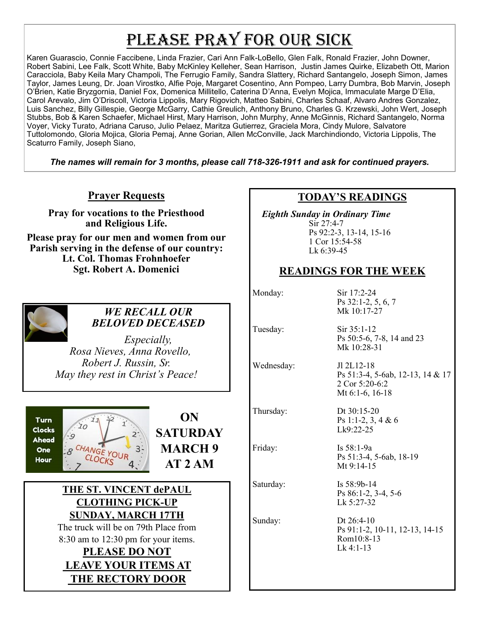# PLEASE PRAY FOR OUR SICK

Karen Guarascio, Connie Faccibene, Linda Frazier, Cari Ann Falk-LoBello, Glen Falk, Ronald Frazier, John Downer, Robert Sabini, Lee Falk, Scott White, Baby McKinley Kelleher, Sean Harrison, Justin James Quirke, Elizabeth Ott, Marion Caracciola, Baby Keila Mary Champoli, The Ferrugio Family, Sandra Slattery, Richard Santangelo, Joseph Simon, James Taylor, James Leung, Dr. Joan Virostko, Alfie Poje, Margaret Cosentino, Ann Pompeo, Larry Dumbra, Bob Marvin, Joseph O'Brien, Katie Bryzgornia, Daniel Fox, Domenica Millitello, Caterina D'Anna, Evelyn Mojica, Immaculate Marge D'Elia, Carol Arevalo, Jim O'Driscoll, Victoria Lippolis, Mary Rigovich, Matteo Sabini, Charles Schaaf, Alvaro Andres Gonzalez, Luis Sanchez, Billy Gillespie, George McGarry, Cathie Greulich, Anthony Bruno, Charles G. Krzewski, John Wert, Joseph Stubbs, Bob & Karen Schaefer, Michael Hirst, Mary Harrison, John Murphy, Anne McGinnis, Richard Santangelo, Norma Voyer, Vicky Turato, Adriana Caruso, Julio Pelaez, Maritza Gutierrez, Graciela Mora, Cindy Mulore, Salvatore Tuttolomondo, Gloria Mojica, Gloria Pemaj, Anne Gorian, Allen McConville, Jack Marchindiondo, Victoria Lippolis, The Scaturro Family, Joseph Siano,

*The names will remain for 3 months, please call 718-326-1911 and ask for continued prayers.*

## **Prayer Requests**

**Pray for vocations to the Priesthood and Religious Life.** 

**Please pray for our men and women from our Parish serving in the defense of our country: Lt. Col. Thomas Frohnhoefer Sgt. Robert A. Domenici** 



## *WE RECALL OUR BELOVED DECEASED*

*Especially, Rosa Nieves, Anna Rovello, Robert J. Russin, Sr. May they rest in Christ's Peace!*





## **THE ST. VINCENT dePAUL CLOTHING PICK-UP SUNDAY, MARCH 17TH**

The truck will be on 79th Place from 8:30 am to 12:30 pm for your items.

## **PLEASE DO NOT LEAVE YOUR ITEMS AT THE RECTORY DOOR**

## **TODAY'S READINGS**

 *Eighth Sunday in Ordinary Time* Sir 27:4-7 Ps 92:2-3, 13-14, 15-16 1 Cor 15:54-58 Lk 6:39-45

## **READINGS FOR THE WEEK**

Monday: Sir 17:2-24

Ps 32:1-2, 5, 6, 7 Mk 10:17-27

Tuesday: Sir 35:1-12 Ps 50:5-6, 7-8, 14 and 23 Mk 10:28-31

Wednesday: Jl 2L12-18

Thursday: Dt 30:15-20

Saturday: Is 58:9b-14

Ps 51:3-4, 5-6ab, 12-13, 14 & 17 2 Cor 5:20-6:2 Mt 6:1-6, 16-18

Ps 1:1-2, 3, 4 & 6 Lk9:22-25

Friday: Is 58:1-9a Ps 51:3-4, 5-6ab, 18-19 Mt 9:14-15

> Ps 86:1-2, 3-4, 5-6 Lk 5:27-32

Sunday: Dt 26:4-10 Ps 91:1-2, 10-11, 12-13, 14-15 Rom10:8-13 Lk 4:1-13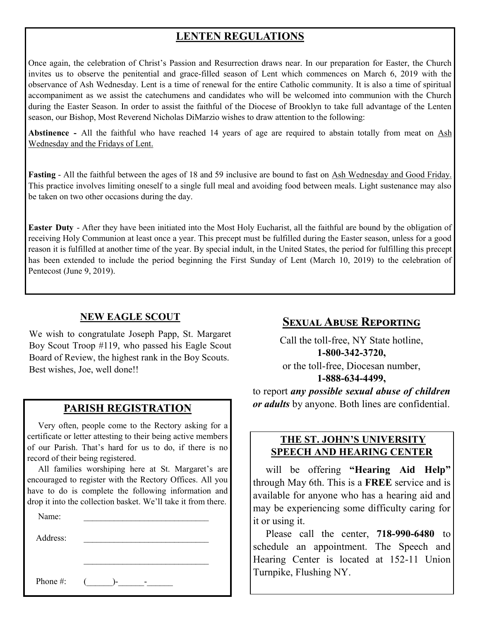# **LENTEN REGULATIONS**

Once again, the celebration of Christ's Passion and Resurrection draws near. In our preparation for Easter, the Church invites us to observe the penitential and grace-filled season of Lent which commences on March 6, 2019 with the observance of Ash Wednesday. Lent is a time of renewal for the entire Catholic community. It is also a time of spiritual accompaniment as we assist the catechumens and candidates who will be welcomed into communion with the Church during the Easter Season. In order to assist the faithful of the Diocese of Brooklyn to take full advantage of the Lenten season, our Bishop, Most Reverend Nicholas DiMarzio wishes to draw attention to the following:

**Abstinence -** All the faithful who have reached 14 years of age are required to abstain totally from meat on Ash Wednesday and the Fridays of Lent.

**Fasting** - All the faithful between the ages of 18 and 59 inclusive are bound to fast on Ash Wednesday and Good Friday. This practice involves limiting oneself to a single full meal and avoiding food between meals. Light sustenance may also be taken on two other occasions during the day.

**Easter Duty** - After they have been initiated into the Most Holy Eucharist, all the faithful are bound by the obligation of receiving Holy Communion at least once a year. This precept must be fulfilled during the Easter season, unless for a good reason it is fulfilled at another time of the year. By special indult, in the United States, the period for fulfilling this precept has been extended to include the period beginning the First Sunday of Lent (March 10, 2019) to the celebration of Pentecost (June 9, 2019).

#### **NEW EAGLE SCOUT**

We wish to congratulate Joseph Papp, St. Margaret Boy Scout Troop #119, who passed his Eagle Scout Board of Review, the highest rank in the Boy Scouts. Best wishes, Joe, well done!!

#### **PARISH REGISTRATION**

 Very often, people come to the Rectory asking for a certificate or letter attesting to their being active members of our Parish. That's hard for us to do, if there is no record of their being registered.

 All families worshiping here at St. Margaret's are encouraged to register with the Rectory Offices. All you have to do is complete the following information and drop it into the collection basket. We'll take it from there.

\_\_\_\_\_\_\_\_\_\_\_\_\_\_\_\_\_\_\_\_\_\_\_\_\_\_\_\_\_

Name:

Address: \_\_\_\_\_\_\_\_\_\_\_\_\_\_\_\_\_\_\_\_\_\_\_\_\_\_\_\_\_

Phone #:  $($   $)$ -  $-$ 

## **Sexual Abuse Reporting**

Call the toll-free, NY State hotline, **1-800-342-3720,** or the toll-free, Diocesan number, **1-888-634-4499,**

to report *any possible sexual abuse of children or adults* by anyone. Both lines are confidential.

#### **THE ST. JOHN'S UNIVERSITY SPEECH AND HEARING CENTER**

 will be offering **"Hearing Aid Help"**  through May 6th. This is a **FREE** service and is available for anyone who has a hearing aid and may be experiencing some difficulty caring for it or using it.

 Please call the center, **718-990-6480** to schedule an appointment. The Speech and Hearing Center is located at 152-11 Union Turnpike, Flushing NY.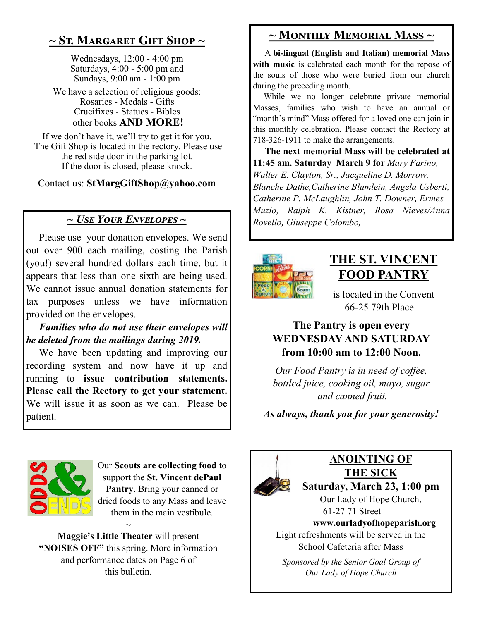# **~ St. Margaret Gift Shop ~**

Wednesdays, 12:00 - 4:00 pm Saturdays, 4:00 - 5:00 pm and Sundays, 9:00 am - 1:00 pm

We have a selection of religious goods: Rosaries - Medals - Gifts Crucifixes - Statues - Bibles other books **AND MORE!**

If we don't have it, we'll try to get it for you. The Gift Shop is located in the rectory. Please use the red side door in the parking lot. If the door is closed, please knock.

Contact us: **StMargGiftShop@yahoo.com**

## *~ Use Your Envelopes ~ Rovello, Giuseppe Colombo,*

 Please use your donation envelopes. We send out over 900 each mailing, costing the Parish (you!) several hundred dollars each time, but it appears that less than one sixth are being used. We cannot issue annual donation statements for tax purposes unless we have information provided on the envelopes.

 *Families who do not use their envelopes will be deleted from the mailings during 2019.*

 We have been updating and improving our recording system and now have it up and running to **issue contribution statements. Please call the Rectory to get your statement.**  We will issue it as soon as we can. Please be patient.

# **~ Monthly Memorial Mass ~**

 A **bi-lingual (English and Italian) memorial Mass**  with music is celebrated each month for the repose of the souls of those who were buried from our church during the preceding month.

 While we no longer celebrate private memorial Masses, families who wish to have an annual or "month's mind" Mass offered for a loved one can join in this monthly celebration. Please contact the Rectory at 718-326-1911 to make the arrangements.

 **The next memorial Mass will be celebrated at 11:45 am. Saturday March 9 for** *Mary Farino, Walter E. Clayton, Sr., Jacqueline D. Morrow, Blanche Dathe,Catherine Blumlein, Angela Usberti, Catherine P. McLaughlin, John T. Downer, Ermes Muzio, Ralph K. Kistner, Rosa Nieves/Anna* 



# **THE ST. VINCENT FOOD PANTRY**

is located in the Convent 66-25 79th Place

## **The Pantry is open every WEDNESDAY AND SATURDAY from 10:00 am to 12:00 Noon.**

*Our Food Pantry is in need of coffee, bottled juice, cooking oil, mayo, sugar and canned fruit.*

*As always, thank you for your generosity!*



Our **Scouts are collecting food** to support the **St. Vincent dePaul Pantry**. Bring your canned or dried foods to any Mass and leave them in the main vestibule.

**Maggie's Little Theater** will present **"NOISES OFF"** this spring. More information and performance dates on Page 6 of this bulletin.

**~**



# **ANOINTING OF THE SICK**

**Saturday, March 23, 1:00 pm** Our Lady of Hope Church,

61-27 71 Street **www.ourladyofhopeparish.org** Light refreshments will be served in the

School Cafeteria after Mass

*Sponsored by the Senior Goal Group of Our Lady of Hope Church*